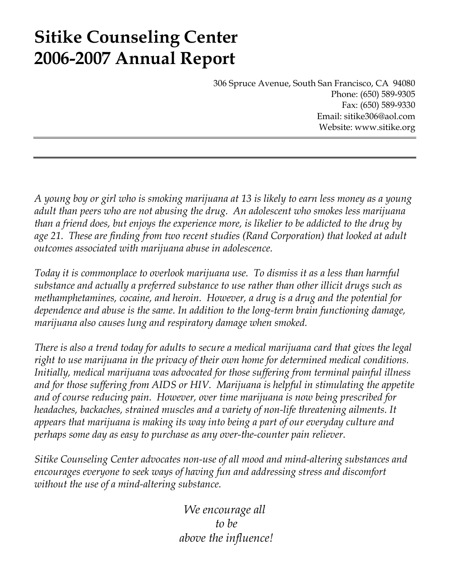# **Sitike Counseling Center 2006-2007 Annual Report**

306 Spruce Avenue, South San Francisco, CA 94080 Phone: (650) 589-9305 Fax: (650) 589-9330 Email: sitike306@aol.com Website: www.sitike.org

*A young boy or girl who is smoking marijuana at 13 is likely to earn less money as a young adult than peers who are not abusing the drug. An adolescent who smokes less marijuana than a friend does, but enjoys the experience more, is likelier to be addicted to the drug by age 21. These are finding from two recent studies (Rand Corporation) that looked at adult outcomes associated with marijuana abuse in adolescence.* 

*Today it is commonplace to overlook marijuana use. To dismiss it as a less than harmful substance and actually a preferred substance to use rather than other illicit drugs such as methamphetamines, cocaine, and heroin. However, a drug is a drug and the potential for dependence and abuse is the same. In addition to the long-term brain functioning damage, marijuana also causes lung and respiratory damage when smoked.* 

*There is also a trend today for adults to secure a medical marijuana card that gives the legal right to use marijuana in the privacy of their own home for determined medical conditions. Initially, medical marijuana was advocated for those suffering from terminal painful illness*  and for those suffering from AIDS or HIV. Marijuana is helpful in stimulating the appetite *and of course reducing pain. However, over time marijuana is now being prescribed for headaches, backaches, strained muscles and a variety of non-life threatening ailments. It appears that marijuana is making its way into being a part of our everyday culture and perhaps some day as easy to purchase as any over-the-counter pain reliever.* 

*Sitike Counseling Center advocates non-use of all mood and mind-altering substances and encourages everyone to seek ways of having fun and addressing stress and discomfort without the use of a mind-altering substance.* 

> *We encourage all to be above the influence!*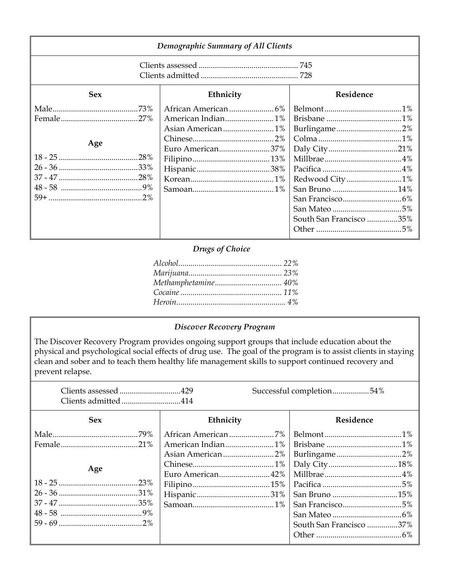| Demographic Summary of All Clients |                  |                                                           |  |
|------------------------------------|------------------|-----------------------------------------------------------|--|
|                                    |                  |                                                           |  |
| <b>Sex</b>                         | Ethnicity        | Residence                                                 |  |
| Age                                | Euro American37% | Burlingame2%<br>Redwood City1%<br>South San Francisco 35% |  |

### *Drugs of Choice*

## *Discover Recovery Program*

The Discover Recovery Program provides ongoing support groups that include education about the physical and psychological social effects of drug use. The goal of the program is to assist clients in staying clean and sober and to teach them healthy life management skills to support continued recovery and prevent relapse.

 Clients assessed ..............................429 Successful completion..................54% Clients admitted .............................414

| <b>Sex</b> | Ethnicity | Residence               |
|------------|-----------|-------------------------|
|            |           |                         |
|            |           |                         |
|            |           |                         |
| Age        |           |                         |
|            |           |                         |
|            |           |                         |
|            |           |                         |
|            |           |                         |
|            |           |                         |
|            |           | South San Francisco 37% |
|            |           |                         |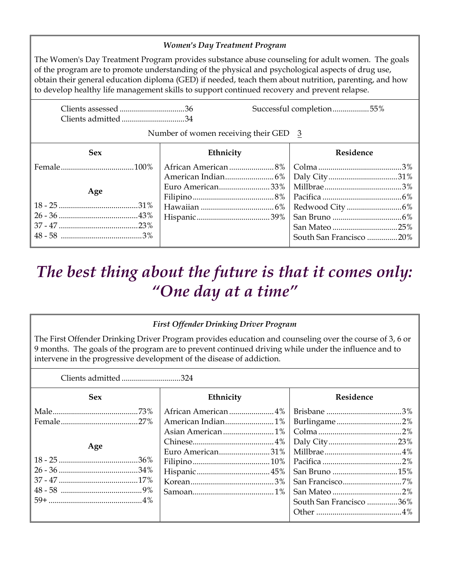## *Women's Day Treatment Program*

The Women's Day Treatment Program provides substance abuse counseling for adult women. The goals of the program are to promote understanding of the physical and psychological aspects of drug use, obtain their general education diploma (GED) if needed, teach them about nutrition, parenting, and how to develop healthy life management skills to support continued recovery and prevent relapse.

| Clients admitted34 |                                         | Successful completion55% |
|--------------------|-----------------------------------------|--------------------------|
|                    | Number of women receiving their GED $3$ |                          |
| <b>Sex</b>         | Ethnicity                               | Residence                |
| Age                | Euro American33%                        |                          |
|                    |                                         | South San Francisco 20%  |

## *The best thing about the future is that it comes only: "One day at a time"*

## *First Offender Drinking Driver Program*

The First Offender Drinking Driver Program provides education and counseling over the course of 3, 6 or 9 months. The goals of the program are to prevent continued driving while under the influence and to intervene in the progressive development of the disease of addiction.

Clients admitted .............................324

| <b>Sex</b> | Ethnicity         | Residence               |
|------------|-------------------|-------------------------|
|            |                   |                         |
|            | American Indian1% | Burlingame2%            |
|            |                   |                         |
| Age        |                   |                         |
|            | Euro American31%  |                         |
|            |                   |                         |
|            |                   |                         |
|            |                   |                         |
|            |                   |                         |
|            |                   | South San Francisco 36% |
|            |                   |                         |